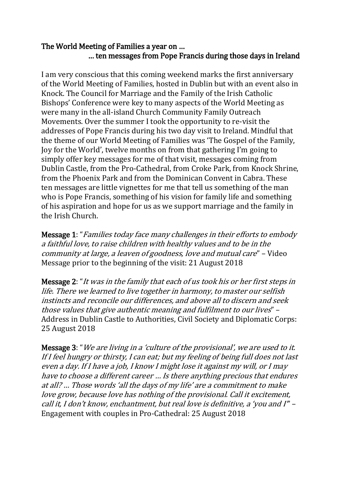## The World Meeting of Families a year on … … ten messages from Pope Francis during those days in Ireland

I am very conscious that this coming weekend marks the first anniversary of the World Meeting of Families, hosted in Dublin but with an event also in Knock. The Council for Marriage and the Family of the Irish Catholic Bishops' Conference were key to many aspects of the World Meeting as were many in the all-island Church Community Family Outreach Movements. Over the summer I took the opportunity to re-visit the addresses of Pope Francis during his two day visit to Ireland. Mindful that the theme of our World Meeting of Families was 'The Gospel of the Family, Joy for the World', twelve months on from that gathering I'm going to simply offer key messages for me of that visit, messages coming from Dublin Castle, from the Pro-Cathedral, from Croke Park, from Knock Shrine, from the Phoenix Park and from the Dominican Convent in Cabra. These ten messages are little vignettes for me that tell us something of the man who is Pope Francis, something of his vision for family life and something of his aspiration and hope for us as we support marriage and the family in the Irish Church.

Message 1: "Families today face many challenges in their efforts to embody a faithful love, to raise children with healthy values and to be in the community at large, a leaven of goodness, love and mutual care" – Video Message prior to the beginning of the visit: 21 August 2018

Message 2: "It was in the family that each of us took his or her first steps in life. There we learned to live together in harmony, to master our selfish instincts and reconcile our differences, and above all to discern and seek those values that give authentic meaning and fulfilment to our lives" – Address in Dublin Castle to Authorities, Civil Society and Diplomatic Corps: 25 August 2018

Message 3: "We are living in a 'culture of the provisional', we are used to it. If I feel hungry or thirsty, I can eat; but my feeling of being full does not last even a day. If I have a job, I know I might lose it against my will, or I may have to choose a different career … Is there anything precious that endures at all? … Those words 'all the days of my life' are a commitment to make love grow, because love has nothing of the provisional. Call it excitement, call it, I don't know, enchantment, but real love is definitive, a 'you and I'" – Engagement with couples in Pro-Cathedral: 25 August 2018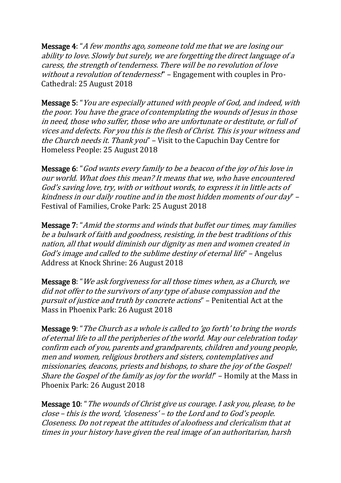Message 4: "A few months ago, someone told me that we are losing our ability to love. Slowly but surely, we are forgetting the direct language of a caress, the strength of tenderness. There will be no revolution of love without a revolution of tenderness!" – Engagement with couples in Pro-Cathedral: 25 August 2018

Message 5: "You are especially attuned with people of God, and indeed, with the poor. You have the grace of contemplating the wounds of Jesus in those in need, those who suffer, those who are unfortunate or destitute, or full of vices and defects. For you this is the flesh of Christ. This is your witness and the Church needs it. Thank you" – Visit to the Capuchin Day Centre for Homeless People: 25 August 2018

Message 6: "God wants every family to be a beacon of the joy of his love in our world. What does this mean? It means that we, who have encountered God's saving love, try, with or without words, to express it in little acts of kindness in our daily routine and in the most hidden moments of our day" – Festival of Families, Croke Park: 25 August 2018

Message 7: "Amid the storms and winds that buffet our times, may families be a bulwark of faith and goodness, resisting, in the best traditions of this nation, all that would diminish our dignity as men and women created in God's image and called to the sublime destiny of eternal life" – Angelus Address at Knock Shrine: 26 August 2018

Message 8: "We ask forgiveness for all those times when, as a Church, we did not offer to the survivors of any type of abuse compassion and the pursuit of justice and truth by concrete actions" – Penitential Act at the Mass in Phoenix Park: 26 August 2018

Message 9: "The Church as a whole is called to 'go forth' to bring the words of eternal life to all the peripheries of the world. May our celebration today confirm each of you, parents and grandparents, children and young people, men and women, religious brothers and sisters, contemplatives and missionaries, deacons, priests and bishops, to share the joy of the Gospel! Share the Gospel of the family as joy for the world!" - Homily at the Mass in Phoenix Park: 26 August 2018

Message 10: "The wounds of Christ give us courage. I ask you, please, to be close – this is the word, 'closeness' – to the Lord and to God's people. Closeness. Do not repeat the attitudes of aloofness and clericalism that at times in your history have given the real image of an authoritarian, harsh